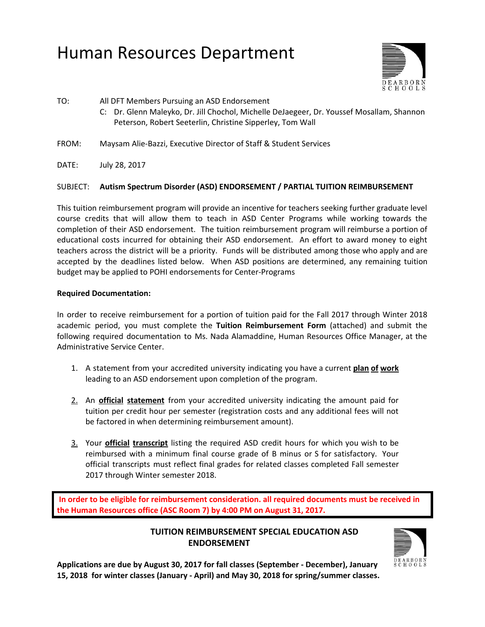# Human Resources Department



TO: All DFT Members Pursuing an ASD Endorsement

- C: Dr. Glenn Maleyko, Dr. Jill Chochol, Michelle DeJaegeer, Dr. Youssef Mosallam, Shannon Peterson, Robert Seeterlin, Christine Sipperley, Tom Wall
- FROM: Maysam Alie-Bazzi, Executive Director of Staff & Student Services
- DATE: July 28, 2017

## SUBJECT: **Autism Spectrum Disorder (ASD) ENDORSEMENT / PARTIAL TUITION REIMBURSEMENT**

This tuition reimbursement program will provide an incentive for teachers seeking further graduate level course credits that will allow them to teach in ASD Center Programs while working towards the completion of their ASD endorsement. The tuition reimbursement program will reimburse a portion of educational costs incurred for obtaining their ASD endorsement. An effort to award money to eight teachers across the district will be a priority. Funds will be distributed among those who apply and are accepted by the deadlines listed below. When ASD positions are determined, any remaining tuition budget may be applied to POHI endorsements for Center-Programs

#### **Required Documentation:**

In order to receive reimbursement for a portion of tuition paid for the Fall 2017 through Winter 2018 academic period, you must complete the **Tuition Reimbursement Form** (attached) and submit the following required documentation to Ms. Nada Alamaddine, Human Resources Office Manager, at the Administrative Service Center.

- 1. A statement from your accredited university indicating you have a current **plan of work** leading to an ASD endorsement upon completion of the program.
- 2. An **official statement** from your accredited university indicating the amount paid for tuition per credit hour per semester (registration costs and any additional fees will not be factored in when determining reimbursement amount).
- 3. Your **official transcript** listing the required ASD credit hours for which you wish to be reimbursed with a minimum final course grade of B minus or S for satisfactory. Your official transcripts must reflect final grades for related classes completed Fall semester 2017 through Winter semester 2018.

**In order to be eligible for reimbursement consideration. all required documents must be received in the Human Resources office (ASC Room 7) by 4:00 PM on August 31, 2017.**

# **TUITION REIMBURSEMENT SPECIAL EDUCATION ASD ENDORSEMENT**



**Applications are due by August 30, 2017 for fall classes (September - December), January 15, 2018 for winter classes (January - April) and May 30, 2018 for spring/summer classes.**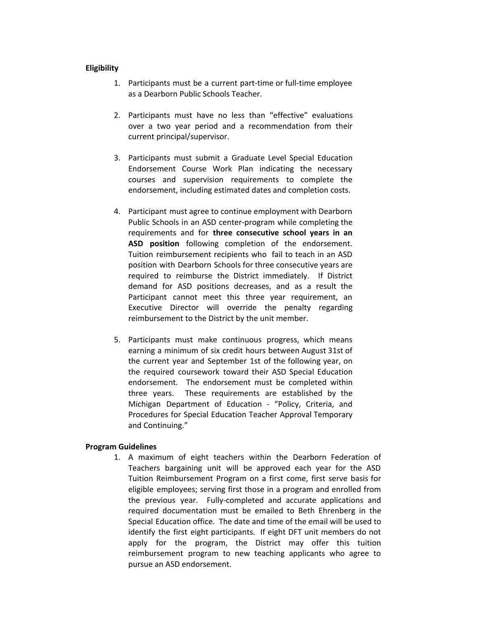#### **Eligibility**

- 1. Participants must be a current part-time or full-time employee as a Dearborn Public Schools Teacher.
- 2. Participants must have no less than "effective" evaluations over a two year period and a recommendation from their current principal/supervisor.
- 3. Participants must submit a Graduate Level Special Education Endorsement Course Work Plan indicating the necessary courses and supervision requirements to complete the endorsement, including estimated dates and completion costs.
- 4. Participant must agree to continue employment with Dearborn Public Schools in an ASD center-program while completing the requirements and for **three consecutive school years in an ASD position** following completion of the endorsement. Tuition reimbursement recipients who fail to teach in an ASD position with Dearborn Schools for three consecutive years are required to reimburse the District immediately. If District demand for ASD positions decreases, and as a result the Participant cannot meet this three year requirement, an Executive Director will override the penalty regarding reimbursement to the District by the unit member.
- 5. Participants must make continuous progress, which means earning a minimum of six credit hours between August 31st of the current year and September 1st of the following year, on the required coursework toward their ASD Special Education endorsement. The endorsement must be completed within three years. These requirements are established by the Michigan Department of Education - "Policy, Criteria, and Procedures for Special Education Teacher Approval Temporary and Continuing."

#### **Program Guidelines**

1. A maximum of eight teachers within the Dearborn Federation of Teachers bargaining unit will be approved each year for the ASD Tuition Reimbursement Program on a first come, first serve basis for eligible employees; serving first those in a program and enrolled from the previous year. Fully-completed and accurate applications and required documentation must be emailed to Beth Ehrenberg in the Special Education office. The date and time of the email will be used to identify the first eight participants. If eight DFT unit members do not apply for the program, the District may offer this tuition reimbursement program to new teaching applicants who agree to pursue an ASD endorsement.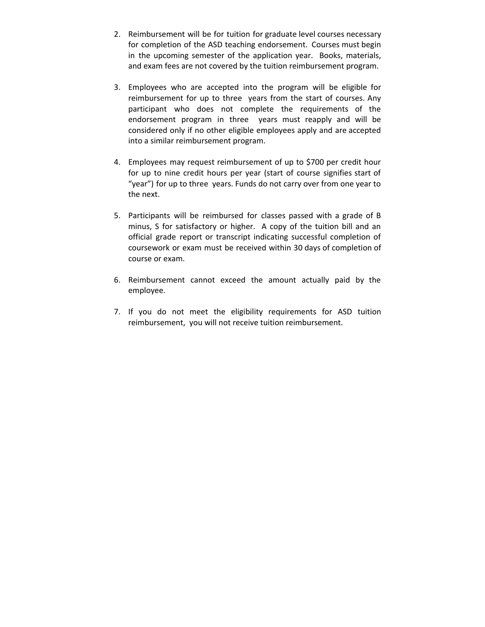- 2. Reimbursement will be for tuition for graduate level courses necessary for completion of the ASD teaching endorsement. Courses must begin in the upcoming semester of the application year. Books, materials, and exam fees are not covered by the tuition reimbursement program.
- 3. Employees who are accepted into the program will be eligible for reimbursement for up to three years from the start of courses. Any participant who does not complete the requirements of the endorsement program in three years must reapply and will be considered only if no other eligible employees apply and are accepted into a similar reimbursement program.
- 4. Employees may request reimbursement of up to \$700 per credit hour for up to nine credit hours per year (start of course signifies start of "year") for up to three years. Funds do not carry over from one year to the next.
- 5. Participants will be reimbursed for classes passed with a grade of B minus, S for satisfactory or higher. A copy of the tuition bill and an official grade report or transcript indicating successful completion of coursework or exam must be received within 30 days of completion of course or exam.
- 6. Reimbursement cannot exceed the amount actually paid by the employee.
- 7. If you do not meet the eligibility requirements for ASD tuition reimbursement, you will not receive tuition reimbursement.